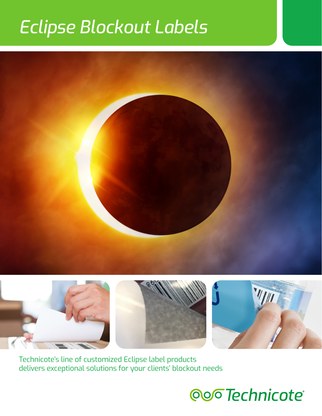# *Eclipse Blockout Labels*









Technicote's line of customized Eclipse label products delivers exceptional solutions for your clients' blockout needs